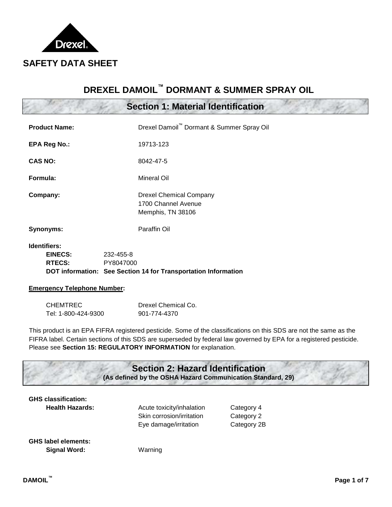

# **DREXEL DAMOIL™ DORMANT & SUMMER SPRAY OIL**

# **Section 1: Material Identification**

| <b>Product Name:</b>    |           | Drexel Damoil" Dormant & Summer Spray Oil                                  |
|-------------------------|-----------|----------------------------------------------------------------------------|
| <b>EPA Reg No.:</b>     |           | 19713-123                                                                  |
| <b>CAS NO:</b>          |           | 8042-47-5                                                                  |
| Formula:                |           | Mineral Oil                                                                |
| Company:                |           | <b>Drexel Chemical Company</b><br>1700 Channel Avenue<br>Memphis, TN 38106 |
| Synonyms:               |           | Paraffin Oil                                                               |
| Identifiers:<br>EINECS: | 232-455-8 |                                                                            |

### **RTECS:** PY8047000

**DOT information: See Section 14 for Transportation Information**

### **Emergency Telephone Number:**

| <b>CHEMTREC</b>     | Drexel Chemical Co. |
|---------------------|---------------------|
| Tel: 1-800-424-9300 | 901-774-4370        |

This product is an EPA FIFRA registered pesticide. Some of the classifications on this SDS are not the same as the FIFRA label. Certain sections of this SDS are superseded by federal law governed by EPA for a registered pesticide. Please see **Section 15: REGULATORY INFORMATION** for explanation.

# **GHS classification: Health Hazards:** Acute toxicity/inhalation Category 4 Skin corrosion/irritation Category 2 Eye damage/irritation Category 2B **GHS label elements: Signal Word:** Warning **Section 2: Hazard Identification (As defined by the OSHA Hazard Communication Standard, 29)**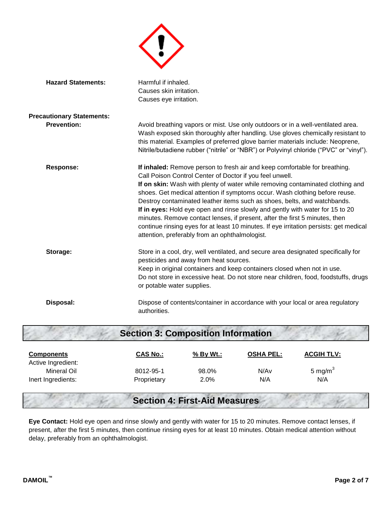

| <b>Hazard Statements:</b>        | Harmful if inhaled.                                                                                                                                                                                                                                                                                                                                                                                                                                                                                                                                                                                                                                                                             |
|----------------------------------|-------------------------------------------------------------------------------------------------------------------------------------------------------------------------------------------------------------------------------------------------------------------------------------------------------------------------------------------------------------------------------------------------------------------------------------------------------------------------------------------------------------------------------------------------------------------------------------------------------------------------------------------------------------------------------------------------|
|                                  | Causes skin irritation.                                                                                                                                                                                                                                                                                                                                                                                                                                                                                                                                                                                                                                                                         |
|                                  | Causes eye irritation.                                                                                                                                                                                                                                                                                                                                                                                                                                                                                                                                                                                                                                                                          |
| <b>Precautionary Statements:</b> |                                                                                                                                                                                                                                                                                                                                                                                                                                                                                                                                                                                                                                                                                                 |
| <b>Prevention:</b>               | Avoid breathing vapors or mist. Use only outdoors or in a well-ventilated area.<br>Wash exposed skin thoroughly after handling. Use gloves chemically resistant to<br>this material. Examples of preferred glove barrier materials include: Neoprene,<br>Nitrile/butadiene rubber ("nitrile" or "NBR") or Polyvinyl chloride ("PVC" or "vinyl").                                                                                                                                                                                                                                                                                                                                                |
| <b>Response:</b>                 | If inhaled: Remove person to fresh air and keep comfortable for breathing.<br>Call Poison Control Center of Doctor if you feel unwell.<br>If on skin: Wash with plenty of water while removing contaminated clothing and<br>shoes. Get medical attention if symptoms occur. Wash clothing before reuse.<br>Destroy contaminated leather items such as shoes, belts, and watchbands.<br>If in eyes: Hold eye open and rinse slowly and gently with water for 15 to 20<br>minutes. Remove contact lenses, if present, after the first 5 minutes, then<br>continue rinsing eyes for at least 10 minutes. If eye irritation persists: get medical<br>attention, preferably from an ophthalmologist. |
| Storage:                         | Store in a cool, dry, well ventilated, and secure area designated specifically for<br>pesticides and away from heat sources.<br>Keep in original containers and keep containers closed when not in use.<br>Do not store in excessive heat. Do not store near children, food, foodstuffs, drugs<br>or potable water supplies.                                                                                                                                                                                                                                                                                                                                                                    |
| Disposal:                        | Dispose of contents/container in accordance with your local or area regulatory<br>authorities.                                                                                                                                                                                                                                                                                                                                                                                                                                                                                                                                                                                                  |
|                                  |                                                                                                                                                                                                                                                                                                                                                                                                                                                                                                                                                                                                                                                                                                 |

| <b>Section 3: Composition Information</b> |                 |           |                  |                   |  |  |  |
|-------------------------------------------|-----------------|-----------|------------------|-------------------|--|--|--|
| <b>Components</b>                         | <b>CAS No.:</b> | % By Wt.: | <b>OSHA PEL:</b> | <b>ACGIH TLV:</b> |  |  |  |
| Active Ingredient:<br><b>Mineral Oil</b>  | 8012-95-1       | 98.0%     | N/A <sub>v</sub> | 5 mg/m $3$        |  |  |  |
| Inert Ingredients:                        | Proprietary     | 2.0%      | N/A              | N/A               |  |  |  |

# **Section 4: First-Aid Measures**

**Eye Contact:** Hold eye open and rinse slowly and gently with water for 15 to 20 minutes. Remove contact lenses, if present, after the first 5 minutes, then continue rinsing eyes for at least 10 minutes. Obtain medical attention without delay, preferably from an ophthalmologist.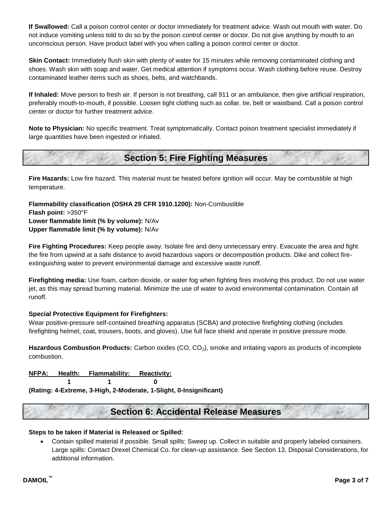**If Swallowed:** Call a poison control center or doctor immediately for treatment advice. Wash out mouth with water. Do not induce vomiting unless told to do so by the poison control center or doctor. Do not give anything by mouth to an unconscious person. Have product label with you when calling a poison control center or doctor.

**Skin Contact:** Immediately flush skin with plenty of water for 15 minutes while removing contaminated clothing and shoes. Wash skin with soap and water. Get medical attention if symptoms occur. Wash clothing before reuse. Destroy contaminated leather items such as shoes, belts, and watchbands.

**If Inhaled:** Move person to fresh air. If person is not breathing, call 911 or an ambulance, then give artificial respiration, preferably mouth-to-mouth, if possible. Loosen tight clothing such as collar, tie, belt or waistband. Call a poison control center or doctor for further treatment advice.

**Note to Physician:** No specific treatment. Treat symptomatically. Contact poison treatment specialist immediately if large quantities have been ingested or inhaled.

# **Section 5: Fire Fighting Measures**

**Fire Hazards:** Low fire hazard. This material must be heated before ignition will occur. May be combustible at high temperature.

**Flammability classification (OSHA 29 CFR 1910.1200):** Non-Combustible **Flash point:** >350°F **Lower flammable limit (% by volume):** N/Av **Upper flammable limit (% by volume):** N/Av

**Fire Fighting Procedures:** Keep people away. Isolate fire and deny unnecessary entry. Evacuate the area and fight the fire from upwind at a safe distance to avoid hazardous vapors or decomposition products. Dike and collect fireextinguishing water to prevent environmental damage and excessive waste runoff.

**Firefighting media:** Use foam, carbon dioxide, or water fog when fighting fires involving this product. Do not use water jet, as this may spread burning material. Minimize the use of water to avoid environmental contamination. Contain all runoff.

### **Special Protective Equipment for Firefighters:**

Wear positive-pressure self-contained breathing apparatus (SCBA) and protective firefighting clothing (includes firefighting helmet, coat, trousers, boots, and gloves). Use full face shield and operate in positive pressure mode.

Hazardous Combustion Products: Carbon oxides (CO, CO<sub>2</sub>), smoke and irritating vapors as products of incomplete combustion.

### **NFPA: Health: Flammability: Reactivity:**

**1 1 0**

**(Rating: 4-Extreme, 3-High, 2-Moderate, 1-Slight, 0-Insignificant)**

### **Section 6: Accidental Release Measures**

### **Steps to be taken if Material is Released or Spilled:**

 Contain spilled material if possible. Small spills: Sweep up. Collect in suitable and properly labeled containers. Large spills: Contact Drexel Chemical Co. for clean-up assistance. See Section 13, Disposal Considerations, for additional information.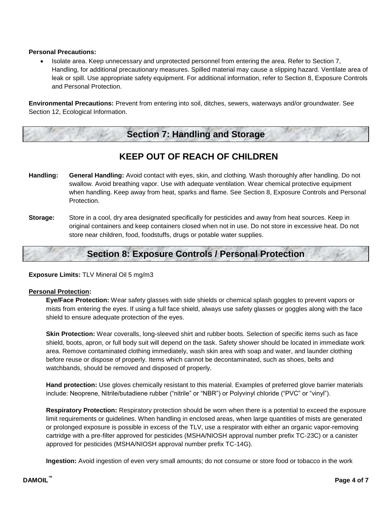#### **Personal Precautions:**

 Isolate area. Keep unnecessary and unprotected personnel from entering the area. Refer to Section 7, Handling, for additional precautionary measures. Spilled material may cause a slipping hazard. Ventilate area of leak or spill. Use appropriate safety equipment. For additional information, refer to Section 8, Exposure Controls and Personal Protection.

**Environmental Precautions:** Prevent from entering into soil, ditches, sewers, waterways and/or groundwater. See Section 12, Ecological Information.

# **Section 7: Handling and Storage**

### **KEEP OUT OF REACH OF CHILDREN**

- **Handling: General Handling:** Avoid contact with eyes, skin, and clothing. Wash thoroughly after handling. Do not swallow. Avoid breathing vapor. Use with adequate ventilation. Wear chemical protective equipment when handling. Keep away from heat, sparks and flame. See Section 8, Exposure Controls and Personal Protection.
- **Storage:** Store in a cool, dry area designated specifically for pesticides and away from heat sources. Keep in original containers and keep containers closed when not in use. Do not store in excessive heat. Do not store near children, food, foodstuffs, drugs or potable water supplies.

### **Section 8: Exposure Controls / Personal Protection**

**Exposure Limits:** TLV Mineral Oil 5 mg/m3

#### **Personal Protection:**

**Eye/Face Protection:** Wear safety glasses with side shields or chemical splash goggles to prevent vapors or mists from entering the eyes. If using a full face shield, always use safety glasses or goggles along with the face shield to ensure adequate protection of the eyes.

**Skin Protection:** Wear coveralls, long-sleeved shirt and rubber boots. Selection of specific items such as face shield, boots, apron, or full body suit will depend on the task. Safety shower should be located in immediate work area. Remove contaminated clothing immediately, wash skin area with soap and water, and launder clothing before reuse or dispose of properly. Items which cannot be decontaminated, such as shoes, belts and watchbands, should be removed and disposed of properly.

**Hand protection:** Use gloves chemically resistant to this material. Examples of preferred glove barrier materials include: Neoprene, Nitrile/butadiene rubber ("nitrile" or "NBR") or Polyvinyl chloride ("PVC" or "vinyl").

**Respiratory Protection:** Respiratory protection should be worn when there is a potential to exceed the exposure limit requirements or guidelines. When handling in enclosed areas, when large quantities of mists are generated or prolonged exposure is possible in excess of the TLV, use a respirator with either an organic vapor-removing cartridge with a pre-filter approved for pesticides (MSHA/NIOSH approval number prefix TC-23C) or a canister approved for pesticides (MSHA/NIOSH approval number prefix TC-14G).

**Ingestion:** Avoid ingestion of even very small amounts; do not consume or store food or tobacco in the work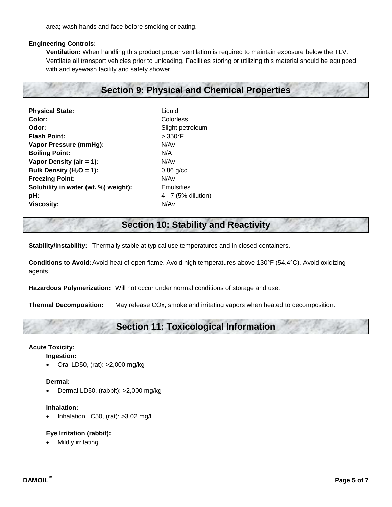area; wash hands and face before smoking or eating.

#### **Engineering Controls:**

**Ventilation:** When handling this product proper ventilation is required to maintain exposure below the TLV. Ventilate all transport vehicles prior to unloading. Facilities storing or utilizing this material should be equipped with and eyewash facility and safety shower.

### **Section 9: Physical and Chemical Properties**

**Physical State:** Liquid **Color:** Colorless **Odor:** Slight petroleum **Flash Point:**  $> 350^{\circ}F$ **Vapor Pressure (mmHg):** N/Av **Boiling Point:** N/A **Vapor Density (air = 1):** N/Av **Bulk Density (H<sub>2</sub>O = 1):** 0.86 g/cc **Freezing Point:** N/Av **Solubility in water (wt. %) weight):** Emulsifies **pH:**  $4 - 7$  (5% dilution) **Viscosity:** N/Av

### **Section 10: Stability and Reactivity**

**Stability/Instability:** Thermally stable at typical use temperatures and in closed containers.

**Conditions to Avoid:**Avoid heat of open flame. Avoid high temperatures above 130°F (54.4°C). Avoid oxidizing agents.

**Hazardous Polymerization:** Will not occur under normal conditions of storage and use.

**Thermal Decomposition:** May release COx, smoke and irritating vapors when heated to decomposition.

## **Section 11: Toxicological Information**

### **Acute Toxicity:**

**Ingestion:**

Oral LD50, (rat): >2,000 mg/kg

#### **Dermal:**

Dermal LD50, (rabbit): >2,000 mg/kg

### **Inhalation:**

Inhalation LC50, (rat): >3.02 mg/l

### **Eye Irritation (rabbit):**

Mildly irritating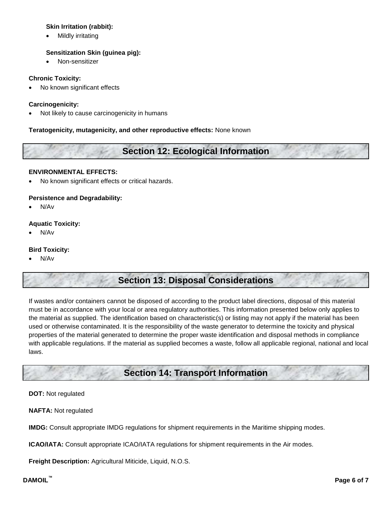### **Skin Irritation (rabbit):**

Mildly irritating

### **Sensitization Skin (guinea pig):**

Non-sensitizer

### **Chronic Toxicity:**

• No known significant effects

### **Carcinogenicity:**

Not likely to cause carcinogenicity in humans

### **Teratogenicity, mutagenicity, and other reproductive effects:** None known

# **Section 12: Ecological Information**

### **ENVIRONMENTAL EFFECTS:**

No known significant effects or critical hazards.

### **Persistence and Degradability:**

N/Av

### **Aquatic Toxicity:**

N/Av

### **Bird Toxicity:**

N/Av

# **Section 13: Disposal Considerations**

If wastes and/or containers cannot be disposed of according to the product label directions, disposal of this material must be in accordance with your local or area regulatory authorities. This information presented below only applies to the material as supplied. The identification based on characteristic(s) or listing may not apply if the material has been used or otherwise contaminated. It is the responsibility of the waste generator to determine the toxicity and physical properties of the material generated to determine the proper waste identification and disposal methods in compliance with applicable regulations. If the material as supplied becomes a waste, follow all applicable regional, national and local laws.

# **Section 14: Transport Information**

### **DOT:** Not regulated

**NAFTA:** Not regulated

**IMDG:** Consult appropriate IMDG regulations for shipment requirements in the Maritime shipping modes.

**ICAO/IATA:** Consult appropriate ICAO/IATA regulations for shipment requirements in the Air modes.

**Freight Description:** Agricultural Miticide, Liquid, N.O.S.